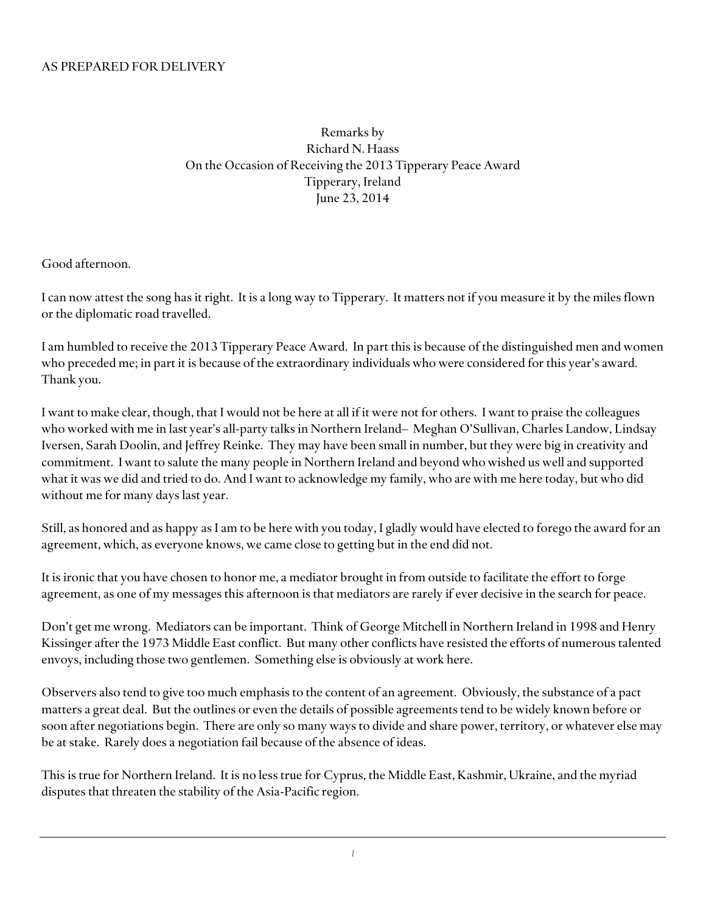Remarks by Richard N. Haass On the Occasion of Receiving the 2013 Tipperary Peace Award Tipperary, Ireland June 23, 2014

Good afternoon.

I can now attest the song has it right. It is a long way to Tipperary. It matters not if you measure it by the miles flown or the diplomatic road travelled.

I am humbled to receive the 2013 Tipperary Peace Award. In part this is because of the distinguished men and women who preceded me; in part it is because of the extraordinary individuals who were considered for this year's award. Thank you.

I want to make clear, though, that I would not be here at all if it were not for others. I want to praise the colleagues who worked with me in last year's all-party talks in Northern Ireland– Meghan O'Sullivan, Charles Landow, Lindsay Iversen, Sarah Doolin, and Jeffrey Reinke. They may have been small in number, but they were big in creativity and commitment. I want to salute the many people in Northern Ireland and beyond who wished us well and supported what it was we did and tried to do. And I want to acknowledge my family, who are with me here today, but who did without me for many days last year.

Still, as honored and as happy as I am to be here with you today, I gladly would have elected to forego the award for an agreement, which, as everyone knows, we came close to getting but in the end did not.

It is ironic that you have chosen to honor me, a mediator brought in from outside to facilitate the effort to forge agreement, as one of my messages this afternoon is that mediators are rarely if ever decisive in the search for peace.

Don't get me wrong. Mediators can be important. Think of George Mitchell in Northern Ireland in 1998 and Henry Kissinger after the 1973 Middle East conflict. But many other conflicts have resisted the efforts of numerous talented envoys, including those two gentlemen. Something else is obviously at work here.

Observers also tend to give too much emphasis to the content of an agreement. Obviously, the substance of a pact matters a great deal. But the outlines or even the details of possible agreements tend to be widely known before or soon after negotiations begin. There are only so many ways to divide and share power, territory, or whatever else may be at stake. Rarely does a negotiation fail because of the absence of ideas.

This is true for Northern Ireland. It is no less true for Cyprus, the Middle East, Kashmir, Ukraine, and the myriad disputes that threaten the stability of the Asia-Pacific region.

*1*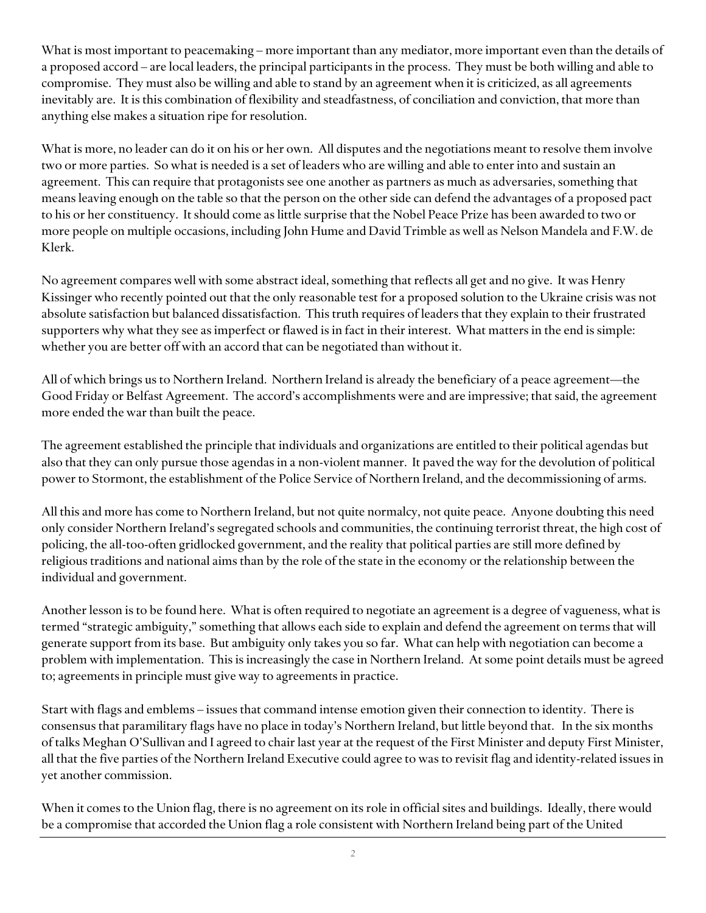What is most important to peacemaking – more important than any mediator, more important even than the details of a proposed accord – are local leaders, the principal participants in the process. They must be both willing and able to compromise. They must also be willing and able to stand by an agreement when it is criticized, as all agreements inevitably are. It is this combination of flexibility and steadfastness, of conciliation and conviction, that more than anything else makes a situation ripe for resolution.

What is more, no leader can do it on his or her own. All disputes and the negotiations meant to resolve them involve two or more parties. So what is needed is a set of leaders who are willing and able to enter into and sustain an agreement. This can require that protagonists see one another as partners as much as adversaries, something that means leaving enough on the table so that the person on the other side can defend the advantages of a proposed pact to his or her constituency. It should come as little surprise that the Nobel Peace Prize has been awarded to two or more people on multiple occasions, including John Hume and David Trimble as well as Nelson Mandela and F.W. de Klerk.

No agreement compares well with some abstract ideal, something that reflects all get and no give. It was Henry Kissinger who recently pointed out that the only reasonable test for a proposed solution to the Ukraine crisis was not absolute satisfaction but balanced dissatisfaction. This truth requires of leaders that they explain to their frustrated supporters why what they see as imperfect or flawed is in fact in their interest. What matters in the end is simple: whether you are better off with an accord that can be negotiated than without it.

All of which brings us to Northern Ireland. Northern Ireland is already the beneficiary of a peace agreement—the Good Friday or Belfast Agreement. The accord's accomplishments were and are impressive; that said, the agreement more ended the war than built the peace.

The agreement established the principle that individuals and organizations are entitled to their political agendas but also that they can only pursue those agendas in a non-violent manner. It paved the way for the devolution of political power to Stormont, the establishment of the Police Service of Northern Ireland, and the decommissioning of arms.

All this and more has come to Northern Ireland, but not quite normalcy, not quite peace. Anyone doubting this need only consider Northern Ireland's segregated schools and communities, the continuing terrorist threat, the high cost of policing, the all-too-often gridlocked government, and the reality that political parties are still more defined by religious traditions and national aims than by the role of the state in the economy or the relationship between the individual and government.

Another lesson is to be found here. What is often required to negotiate an agreement is a degree of vagueness, what is termed "strategic ambiguity," something that allows each side to explain and defend the agreement on terms that will generate support from its base. But ambiguity only takes you so far. What can help with negotiation can become a problem with implementation. This is increasingly the case in Northern Ireland. At some point details must be agreed to; agreements in principle must give way to agreements in practice.

Start with flags and emblems – issues that command intense emotion given their connection to identity. There is consensus that paramilitary flags have no place in today's Northern Ireland, but little beyond that. In the six months of talks Meghan O'Sullivan and I agreed to chair last year at the request of the First Minister and deputy First Minister, all that the five parties of the Northern Ireland Executive could agree to was to revisit flag and identity-related issues in yet another commission.

When it comes to the Union flag, there is no agreement on its role in official sites and buildings. Ideally, there would be a compromise that accorded the Union flag a role consistent with Northern Ireland being part of the United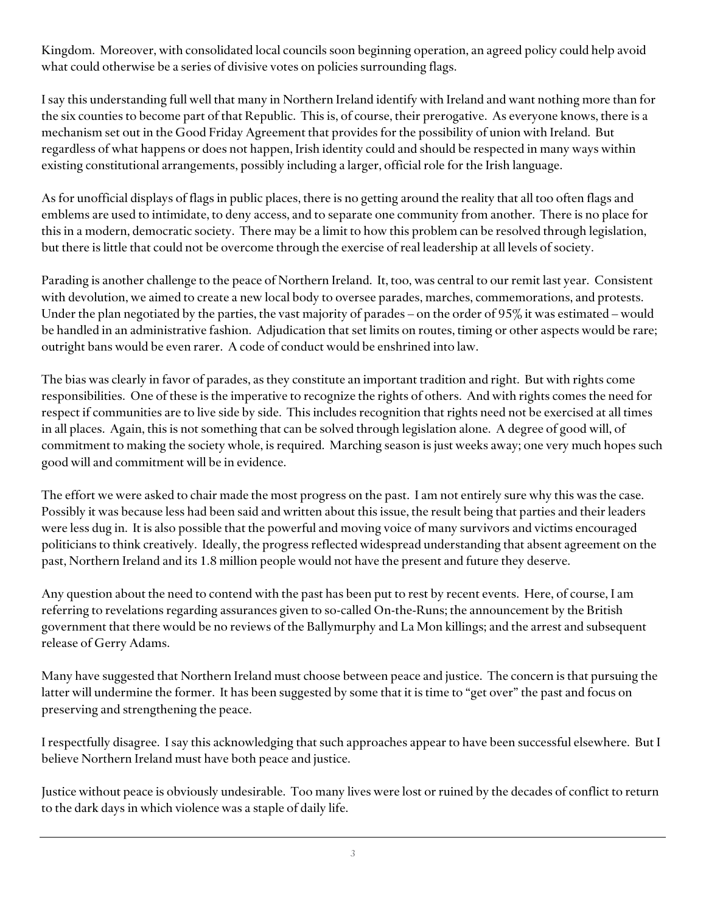Kingdom. Moreover, with consolidated local councils soon beginning operation, an agreed policy could help avoid what could otherwise be a series of divisive votes on policies surrounding flags.

I say this understanding full well that many in Northern Ireland identify with Ireland and want nothing more than for the six counties to become part of that Republic. This is, of course, their prerogative. As everyone knows, there is a mechanism set out in the Good Friday Agreement that provides for the possibility of union with Ireland. But regardless of what happens or does not happen, Irish identity could and should be respected in many ways within existing constitutional arrangements, possibly including a larger, official role for the Irish language.

As for unofficial displays of flags in public places, there is no getting around the reality that all too often flags and emblems are used to intimidate, to deny access, and to separate one community from another. There is no place for this in a modern, democratic society. There may be a limit to how this problem can be resolved through legislation, but there is little that could not be overcome through the exercise of real leadership at all levels of society.

Parading is another challenge to the peace of Northern Ireland. It, too, was central to our remit last year. Consistent with devolution, we aimed to create a new local body to oversee parades, marches, commemorations, and protests. Under the plan negotiated by the parties, the vast majority of parades – on the order of 95% it was estimated – would be handled in an administrative fashion. Adjudication that set limits on routes, timing or other aspects would be rare; outright bans would be even rarer. A code of conduct would be enshrined into law.

The bias was clearly in favor of parades, as they constitute an important tradition and right. But with rights come responsibilities. One of these is the imperative to recognize the rights of others. And with rights comes the need for respect if communities are to live side by side. This includes recognition that rights need not be exercised at all times in all places. Again, this is not something that can be solved through legislation alone. A degree of good will, of commitment to making the society whole, is required. Marching season is just weeks away; one very much hopes such good will and commitment will be in evidence.

The effort we were asked to chair made the most progress on the past. I am not entirely sure why this was the case. Possibly it was because less had been said and written about this issue, the result being that parties and their leaders were less dug in. It is also possible that the powerful and moving voice of many survivors and victims encouraged politicians to think creatively. Ideally, the progress reflected widespread understanding that absent agreement on the past, Northern Ireland and its 1.8 million people would not have the present and future they deserve.

Any question about the need to contend with the past has been put to rest by recent events. Here, of course, I am referring to revelations regarding assurances given to so-called On-the-Runs; the announcement by the British government that there would be no reviews of the Ballymurphy and La Mon killings; and the arrest and subsequent release of Gerry Adams.

Many have suggested that Northern Ireland must choose between peace and justice. The concern is that pursuing the latter will undermine the former. It has been suggested by some that it is time to "get over" the past and focus on preserving and strengthening the peace.

I respectfully disagree. I say this acknowledging that such approaches appear to have been successful elsewhere. But I believe Northern Ireland must have both peace and justice.

Justice without peace is obviously undesirable. Too many lives were lost or ruined by the decades of conflict to return to the dark days in which violence was a staple of daily life.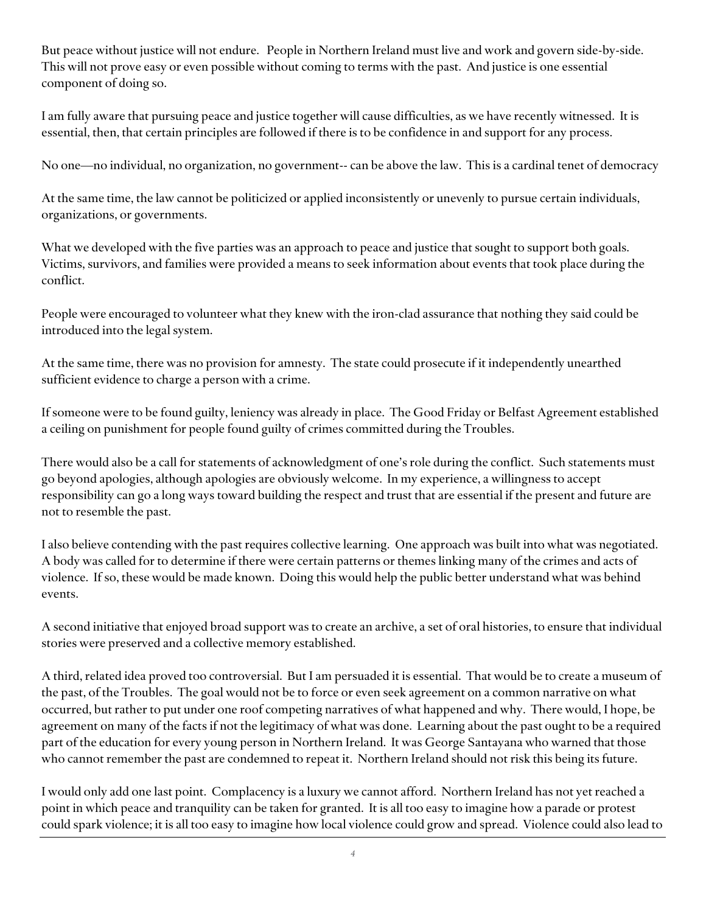But peace without justice will not endure. People in Northern Ireland must live and work and govern side-by-side. This will not prove easy or even possible without coming to terms with the past. And justice is one essential component of doing so.

I am fully aware that pursuing peace and justice together will cause difficulties, as we have recently witnessed. It is essential, then, that certain principles are followed if there is to be confidence in and support for any process.

No one—no individual, no organization, no government-- can be above the law. This is a cardinal tenet of democracy

At the same time, the law cannot be politicized or applied inconsistently or unevenly to pursue certain individuals, organizations, or governments.

What we developed with the five parties was an approach to peace and justice that sought to support both goals. Victims, survivors, and families were provided a means to seek information about events that took place during the conflict.

People were encouraged to volunteer what they knew with the iron-clad assurance that nothing they said could be introduced into the legal system.

At the same time, there was no provision for amnesty. The state could prosecute if it independently unearthed sufficient evidence to charge a person with a crime.

If someone were to be found guilty, leniency was already in place. The Good Friday or Belfast Agreement established a ceiling on punishment for people found guilty of crimes committed during the Troubles.

There would also be a call for statements of acknowledgment of one's role during the conflict. Such statements must go beyond apologies, although apologies are obviously welcome. In my experience, a willingness to accept responsibility can go a long ways toward building the respect and trust that are essential if the present and future are not to resemble the past.

I also believe contending with the past requires collective learning. One approach was built into what was negotiated. A body was called for to determine if there were certain patterns or themes linking many of the crimes and acts of violence. If so, these would be made known. Doing this would help the public better understand what was behind events.

A second initiative that enjoyed broad support was to create an archive, a set of oral histories, to ensure that individual stories were preserved and a collective memory established.

A third, related idea proved too controversial. But I am persuaded it is essential. That would be to create a museum of the past, of the Troubles. The goal would not be to force or even seek agreement on a common narrative on what occurred, but rather to put under one roof competing narratives of what happened and why. There would, I hope, be agreement on many of the facts if not the legitimacy of what was done. Learning about the past ought to be a required part of the education for every young person in Northern Ireland. It was George Santayana who warned that those who cannot remember the past are condemned to repeat it. Northern Ireland should not risk this being its future.

I would only add one last point. Complacency is a luxury we cannot afford. Northern Ireland has not yet reached a point in which peace and tranquility can be taken for granted. It is all too easy to imagine how a parade or protest could spark violence; it is all too easy to imagine how local violence could grow and spread. Violence could also lead to